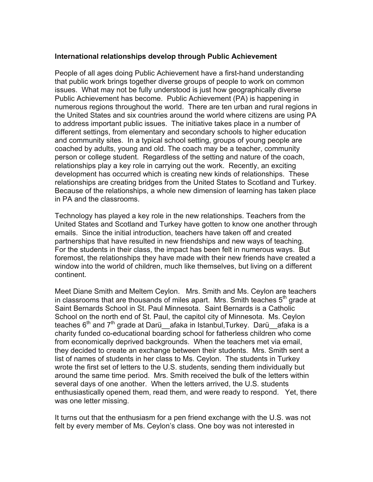# **International relationships develop through Public Achievement**

People of all ages doing Public Achievement have a first-hand understanding that public work brings together diverse groups of people to work on common issues. What may not be fully understood is just how geographically diverse Public Achievement has become. Public Achievement (PA) is happening in numerous regions throughout the world. There are ten urban and rural regions in the United States and six countries around the world where citizens are using PA to address important public issues. The initiative takes place in a number of different settings, from elementary and secondary schools to higher education and community sites. In a typical school setting, groups of young people are coached by adults, young and old. The coach may be a teacher, community person or college student. Regardless of the setting and nature of the coach, relationships play a key role in carrying out the work. Recently, an exciting development has occurred which is creating new kinds of relationships. These relationships are creating bridges from the United States to Scotland and Turkey. Because of the relationships, a whole new dimension of learning has taken place in PA and the classrooms.

Technology has played a key role in the new relationships. Teachers from the United States and Scotland and Turkey have gotten to know one another through emails. Since the initial introduction, teachers have taken off and created partnerships that have resulted in new friendships and new ways of teaching. For the students in their class, the impact has been felt in numerous ways. But foremost, the relationships they have made with their new friends have created a window into the world of children, much like themselves, but living on a different continent.

Meet Diane Smith and Meltem Ceylon. Mrs. Smith and Ms. Ceylon are teachers in classrooms that are thousands of miles apart. Mrs. Smith teaches  $5<sup>th</sup>$  grade at Saint Bernards School in St. Paul Minnesota. Saint Bernards is a Catholic School on the north end of St. Paul, the capitol city of Minnesota. Ms. Ceylon teaches  $6<sup>th</sup>$  and  $7<sup>th</sup>$  grade at Darü\_\_afaka in Istanbul, Turkey. Darü\_\_afaka is a charity funded co-educational boarding school for fatherless children who come from economically deprived backgrounds. When the teachers met via email, they decided to create an exchange between their students. Mrs. Smith sent a list of names of students in her class to Ms. Ceylon. The students in Turkey wrote the first set of letters to the U.S. students, sending them individually but around the same time period. Mrs. Smith received the bulk of the letters within several days of one another. When the letters arrived, the U.S. students enthusiastically opened them, read them, and were ready to respond. Yet, there was one letter missing.

It turns out that the enthusiasm for a pen friend exchange with the U.S. was not felt by every member of Ms. Ceylon's class. One boy was not interested in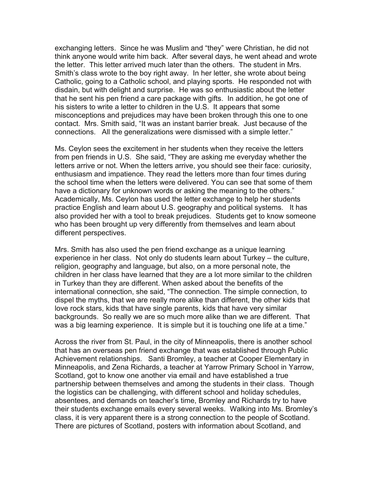exchanging letters. Since he was Muslim and "they" were Christian, he did not think anyone would write him back. After several days, he went ahead and wrote the letter. This letter arrived much later than the others. The student in Mrs. Smith's class wrote to the boy right away. In her letter, she wrote about being Catholic, going to a Catholic school, and playing sports. He responded not with disdain, but with delight and surprise. He was so enthusiastic about the letter that he sent his pen friend a care package with gifts. In addition, he got one of his sisters to write a letter to children in the U.S. It appears that some misconceptions and prejudices may have been broken through this one to one contact. Mrs. Smith said, "It was an instant barrier break. Just because of the connections. All the generalizations were dismissed with a simple letter."

Ms. Ceylon sees the excitement in her students when they receive the letters from pen friends in U.S. She said, "They are asking me everyday whether the letters arrive or not. When the letters arrive, you should see their face: curiosity, enthusiasm and impatience. They read the letters more than four times during the school time when the letters were delivered. You can see that some of them have a dictionary for unknown words or asking the meaning to the others." Academically, Ms. Ceylon has used the letter exchange to help her students practice English and learn about U.S. geography and political systems. It has also provided her with a tool to break prejudices. Students get to know someone who has been brought up very differently from themselves and learn about different perspectives.

Mrs. Smith has also used the pen friend exchange as a unique learning experience in her class. Not only do students learn about Turkey – the culture, religion, geography and language, but also, on a more personal note, the children in her class have learned that they are a lot more similar to the children in Turkey than they are different. When asked about the benefits of the international connection, she said, "The connection. The simple connection, to dispel the myths, that we are really more alike than different, the other kids that love rock stars, kids that have single parents, kids that have very similar backgrounds. So really we are so much more alike than we are different. That was a big learning experience. It is simple but it is touching one life at a time."

Across the river from St. Paul, in the city of Minneapolis, there is another school that has an overseas pen friend exchange that was established through Public Achievement relationships. Santi Bromley, a teacher at Cooper Elementary in Minneapolis, and Zena Richards, a teacher at Yarrow Primary School in Yarrow, Scotland, got to know one another via email and have established a true partnership between themselves and among the students in their class. Though the logistics can be challenging, with different school and holiday schedules, absentees, and demands on teacher's time, Bromley and Richards try to have their students exchange emails every several weeks. Walking into Ms. Bromley's class, it is very apparent there is a strong connection to the people of Scotland. There are pictures of Scotland, posters with information about Scotland, and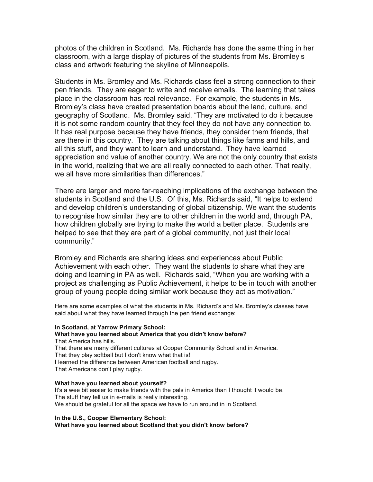photos of the children in Scotland. Ms. Richards has done the same thing in her classroom, with a large display of pictures of the students from Ms. Bromley's class and artwork featuring the skyline of Minneapolis.

Students in Ms. Bromley and Ms. Richards class feel a strong connection to their pen friends. They are eager to write and receive emails. The learning that takes place in the classroom has real relevance. For example, the students in Ms. Bromley's class have created presentation boards about the land, culture, and geography of Scotland. Ms. Bromley said, "They are motivated to do it because it is not some random country that they feel they do not have any connection to. It has real purpose because they have friends, they consider them friends, that are there in this country. They are talking about things like farms and hills, and all this stuff, and they want to learn and understand. They have learned appreciation and value of another country. We are not the only country that exists in the world, realizing that we are all really connected to each other. That really, we all have more similarities than differences."

There are larger and more far-reaching implications of the exchange between the students in Scotland and the U.S. Of this, Ms. Richards said, "It helps to extend and develop children's understanding of global citizenship. We want the students to recognise how similar they are to other children in the world and, through PA, how children globally are trying to make the world a better place. Students are helped to see that they are part of a global community, not just their local community."

Bromley and Richards are sharing ideas and experiences about Public Achievement with each other. They want the students to share what they are doing and learning in PA as well. Richards said, "When you are working with a project as challenging as Public Achievement, it helps to be in touch with another group of young people doing similar work because they act as motivation."

Here are some examples of what the students in Ms. Richard's and Ms. Bromley's classes have said about what they have learned through the pen friend exchange:

#### **In Scotland, at Yarrow Primary School:**

## **What have you learned about America that you didn't know before?** That America has hills.

That there are many different cultures at Cooper Community School and in America. That they play softball but I don't know what that is! I learned the difference between American football and rugby. That Americans don't play rugby.

### **What have you learned about yourself?**

It's a wee bit easier to make friends with the pals in America than I thought it would be. The stuff they tell us in e-mails is really interesting. We should be grateful for all the space we have to run around in in Scotland.

**In the U.S., Cooper Elementary School:**

**What have you learned about Scotland that you didn't know before?**